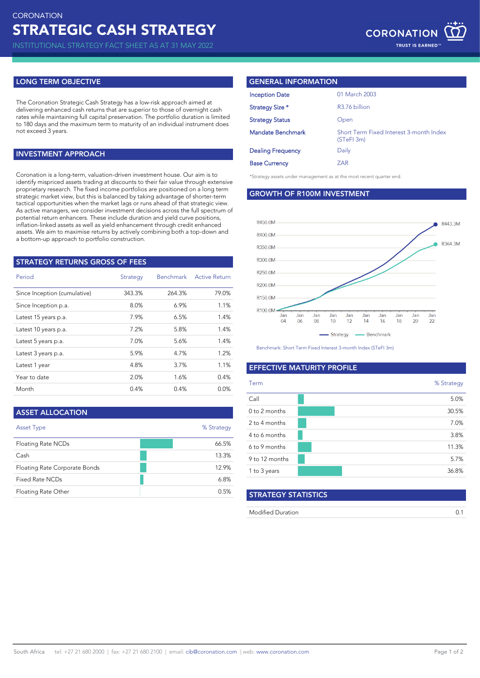## **LONG TERM OBJECTIVE**

The Coronation Strategic Cash Strategy has a low-risk approach aimed at delivering enhanced cash returns that are superior to those of overnight cash rates while maintaining full capital preservation. The portfolio duration is limited to 180 days and the maximum term to maturity of an individual instrument does not exceed 3 years.

# **INVESTMENT APPROACH**

Coronation is a long-term, valuation-driven investment house. Our aim is to strategy assets under management as at the most recent quarter end. identify mispriced assets trading at discounts to their fair value through extensive proprietary research. The fixed income portfolios are positioned on a long term strategic market view, but this is balanced by taking advantage of shorter-term tactical opportunities when the market lags or runs ahead of that strategic view. As active managers, we consider investment decisions across the full spectrum of potential return enhancers. These include duration and yield curve positions, inflation-linked assets as well as yield enhancement through credit enhanced assets. We aim to maximise returns by actively combining both a top-down and a bottom-up approach to portfolio construction.

| <b>STRATEGY RETURNS GROSS OF FEES</b> |          |                  |                      |  |  |
|---------------------------------------|----------|------------------|----------------------|--|--|
| Period                                | Strategy | <b>Benchmark</b> | <b>Active Return</b> |  |  |
| Since Inception (cumulative)          | 343.3%   | 264.3%           | 79.0%                |  |  |
| Since Inception p.a.                  | 8.0%     | 6.9%             | 1.1%                 |  |  |
| Latest 15 years p.a.                  | 7.9%     | 6.5%             | 1.4%                 |  |  |
| Latest 10 years p.a.                  | 7.2%     | 5.8%             | 1.4%                 |  |  |
| Latest 5 years p.a.                   | 7.0%     | 5.6%             | 1.4%                 |  |  |
| Latest 3 years p.a.                   | 5.9%     | 4.7%             | 1.2%                 |  |  |
| Latest 1 year                         | 4.8%     | 3.7%             | 1.1%                 |  |  |
| Year to date                          | 2.0%     | 1.6%             | 0.4%                 |  |  |
| Month                                 | 0.4%     | 0.4%             | 0.0%                 |  |  |

| <b>ASSET ALLOCATION</b>       |            |
|-------------------------------|------------|
| <b>Asset Type</b>             | % Strategy |
| Floating Rate NCDs            | 66.5%      |
| Cash                          | 13.3%      |
| Floating Rate Corporate Bonds | 12.9%      |
| Fixed Rate NCDs               | 6.8%       |
| Floating Rate Other           | 0.5%       |

## **GENERAL INFORMATION**

| <b>Inception Date</b>    | 01 March 2003                                         |
|--------------------------|-------------------------------------------------------|
| Strategy Size *          | R3.76 billion                                         |
| <b>Strategy Status</b>   | Open                                                  |
| <b>Mandate Benchmark</b> | Short Term Fixed Interest 3-month Index<br>(STeFI 3m) |
|                          |                                                       |
| <b>Dealing Frequency</b> | Daily                                                 |
| <b>Base Currency</b>     | ZAR                                                   |

**GROWTH OF R100M INVESTMENT**



Benchmark: Short Term Fixed Interest 3-month Index (STeFI 3m)

## **EFFECTIVE MATURITY PROFILE**

| Term           | % Strategy |
|----------------|------------|
| Call           | 5.0%       |
| 0 to 2 months  | 30.5%      |
| 2 to 4 months  | 7.0%       |
| 4 to 6 months  | 3.8%       |
| 6 to 9 months  | 11.3%      |
| 9 to 12 months | 5.7%       |
| 1 to 3 years   | 36.8%      |

| <b>STRATEGY STATISTICS</b> |  |
|----------------------------|--|
| <b>Modified Duration</b>   |  |